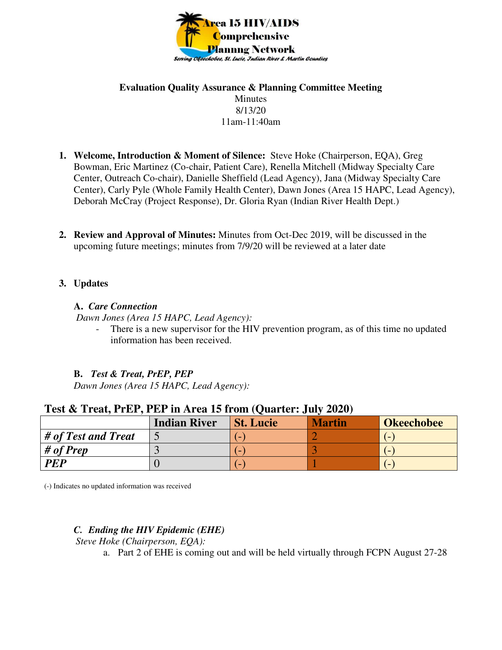

### **Evaluation Quality Assurance & Planning Committee Meeting**  Minutes 8/13/20 11am-11:40am

- **1. Welcome, Introduction & Moment of Silence:** Steve Hoke (Chairperson, EQA), Greg Bowman, Eric Martinez (Co-chair, Patient Care), Renella Mitchell (Midway Specialty Care Center, Outreach Co-chair), Danielle Sheffield (Lead Agency), Jana (Midway Specialty Care Center), Carly Pyle (Whole Family Health Center), Dawn Jones (Area 15 HAPC, Lead Agency), Deborah McCray (Project Response), Dr. Gloria Ryan (Indian River Health Dept.)
- **2. Review and Approval of Minutes:** Minutes from Oct-Dec 2019, will be discussed in the upcoming future meetings; minutes from 7/9/20 will be reviewed at a later date

# **3. Updates**

### **A.** *Care Connection*

 *Dawn Jones (Area 15 HAPC, Lead Agency):* 

There is a new supervisor for the HIV prevention program, as of this time no updated information has been received.

# **B.** *Test & Treat, PrEP, PEP*

 *Dawn Jones (Area 15 HAPC, Lead Agency):* 

| Test & Treat, PrEP, PEP in Area 15 from (Quarter: July 2020) |                     |                  |               |                   |
|--------------------------------------------------------------|---------------------|------------------|---------------|-------------------|
|                                                              | <b>Indian River</b> | <b>St. Lucie</b> | <b>Martin</b> | <b>Okeechobee</b> |
| # of Test and Treat                                          |                     |                  |               |                   |
| # of Prep                                                    |                     |                  |               |                   |

**PEP** 0 (-) 1 (-)

# **Test & Treat, PrEP, PEP in Area 15 from (Quarter: July 2020)**

(-) Indicates no updated information was received

# *C. Ending the HIV Epidemic (EHE)*

*Steve Hoke (Chairperson, EQA):* 

a. Part 2 of EHE is coming out and will be held virtually through FCPN August 27-28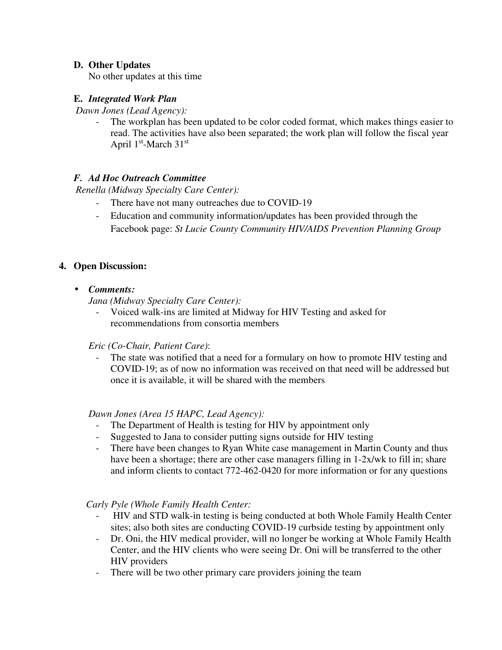# **D. Other Updates**

No other updates at this time

### **E.** *Integrated Work Plan*

*Dawn Jones (Lead Agency):* 

The workplan has been updated to be color coded format, which makes things easier to read. The activities have also been separated; the work plan will follow the fiscal year April 1<sup>st</sup>-March 31<sup>st</sup>

# *F. Ad Hoc Outreach Committee*

*Renella (Midway Specialty Care Center):*

- There have not many outreaches due to COVID-19
- Education and community information/updates has been provided through the Facebook page: *St Lucie County Community HIV/AIDS Prevention Planning Group*

### **4. Open Discussion:**

• *Comments:* 

*Jana (Midway Specialty Care Center):* 

- Voiced walk-ins are limited at Midway for HIV Testing and asked for recommendations from consortia members

#### *Eric (Co-Chair, Patient Care)*:

The state was notified that a need for a formulary on how to promote HIV testing and COVID-19; as of now no information was received on that need will be addressed but once it is available, it will be shared with the members

#### *Dawn Jones (Area 15 HAPC, Lead Agency):*

- The Department of Health is testing for HIV by appointment only
- Suggested to Jana to consider putting signs outside for HIV testing
- There have been changes to Ryan White case management in Martin County and thus have been a shortage; there are other case managers filling in 1-2x/wk to fill in; share and inform clients to contact 772-462-0420 for more information or for any questions

*Carly Pyle (Whole Family Health Center:* 

- HIV and STD walk-in testing is being conducted at both Whole Family Health Center sites; also both sites are conducting COVID-19 curbside testing by appointment only
- Dr. Oni, the HIV medical provider, will no longer be working at Whole Family Health Center, and the HIV clients who were seeing Dr. Oni will be transferred to the other HIV providers
- There will be two other primary care providers joining the team